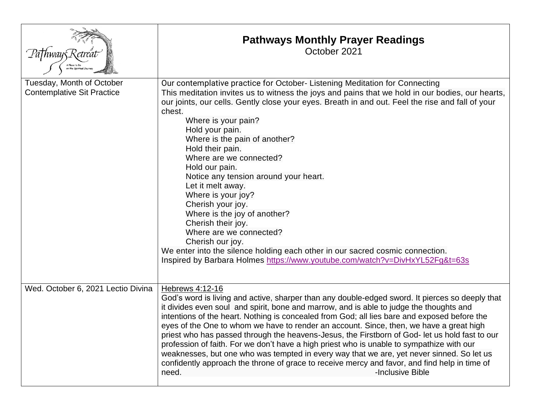|                                                                | <b>Pathways Monthly Prayer Readings</b><br>October 2021                                                                                                                                                                                                                                                                                                                                                                                                                                                                                                                                                                                                                                                                                                                                                                            |
|----------------------------------------------------------------|------------------------------------------------------------------------------------------------------------------------------------------------------------------------------------------------------------------------------------------------------------------------------------------------------------------------------------------------------------------------------------------------------------------------------------------------------------------------------------------------------------------------------------------------------------------------------------------------------------------------------------------------------------------------------------------------------------------------------------------------------------------------------------------------------------------------------------|
| Tuesday, Month of October<br><b>Contemplative Sit Practice</b> | Our contemplative practice for October-Listening Meditation for Connecting<br>This meditation invites us to witness the joys and pains that we hold in our bodies, our hearts,<br>our joints, our cells. Gently close your eyes. Breath in and out. Feel the rise and fall of your<br>chest.<br>Where is your pain?<br>Hold your pain.<br>Where is the pain of another?<br>Hold their pain.<br>Where are we connected?<br>Hold our pain.<br>Notice any tension around your heart.<br>Let it melt away.<br>Where is your joy?<br>Cherish your joy.<br>Where is the joy of another?<br>Cherish their joy.<br>Where are we connected?<br>Cherish our joy.<br>We enter into the silence holding each other in our sacred cosmic connection.<br>Inspired by Barbara Holmes https://www.youtube.com/watch?v=DivHxYL52Fg&t=63s            |
| Wed. October 6, 2021 Lectio Divina                             | Hebrews 4:12-16<br>God's word is living and active, sharper than any double-edged sword. It pierces so deeply that<br>it divides even soul and spirit, bone and marrow, and is able to judge the thoughts and<br>intentions of the heart. Nothing is concealed from God; all lies bare and exposed before the<br>eyes of the One to whom we have to render an account. Since, then, we have a great high<br>priest who has passed through the heavens-Jesus, the Firstborn of God- let us hold fast to our<br>profession of faith. For we don't have a high priest who is unable to sympathize with our<br>weaknesses, but one who was tempted in every way that we are, yet never sinned. So let us<br>confidently approach the throne of grace to receive mercy and favor, and find help in time of<br>-Inclusive Bible<br>need. |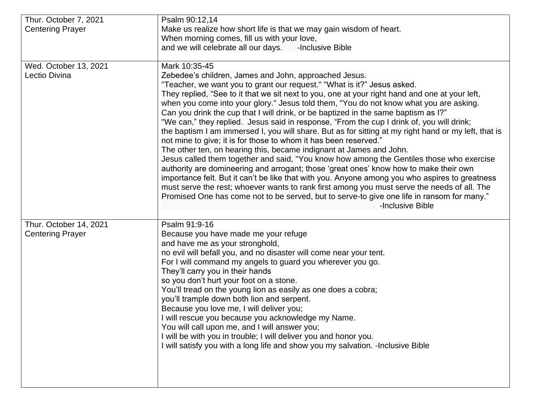| Thur. October 7, 2021   | Psalm 90:12,14                                                                                                                                                  |  |  |
|-------------------------|-----------------------------------------------------------------------------------------------------------------------------------------------------------------|--|--|
| <b>Centering Prayer</b> | Make us realize how short life is that we may gain wisdom of heart.                                                                                             |  |  |
|                         | When morning comes, fill us with your love,                                                                                                                     |  |  |
|                         | -Inclusive Bible<br>and we will celebrate all our days.                                                                                                         |  |  |
|                         |                                                                                                                                                                 |  |  |
| Wed. October 13, 2021   | Mark 10:35-45                                                                                                                                                   |  |  |
| Lectio Divina           | Zebedee's children, James and John, approached Jesus.                                                                                                           |  |  |
|                         | "Teacher, we want you to grant our request." "What is it?" Jesus asked.                                                                                         |  |  |
|                         | They replied, "See to it that we sit next to you, one at your right hand and one at your left,                                                                  |  |  |
|                         | when you come into your glory." Jesus told them, "You do not know what you are asking.                                                                          |  |  |
|                         | Can you drink the cup that I will drink, or be baptized in the same baptism as I?"                                                                              |  |  |
|                         | "We can," they replied. Jesus said in response, "From the cup I drink of, you will drink;                                                                       |  |  |
|                         | the baptism I am immersed I, you will share. But as for sitting at my right hand or my left, that is                                                            |  |  |
|                         | not mine to give; it is for those to whom it has been reserved."                                                                                                |  |  |
|                         | The other ten, on hearing this, became indignant at James and John.<br>Jesus called them together and said, "You know how among the Gentiles those who exercise |  |  |
|                         | authority are domineering and arrogant; those 'great ones' know how to make their own                                                                           |  |  |
|                         | importance felt. But it can't be like that with you. Anyone among you who aspires to greatness                                                                  |  |  |
|                         | must serve the rest; whoever wants to rank first among you must serve the needs of all. The                                                                     |  |  |
|                         | Promised One has come not to be served, but to serve-to give one life in ransom for many."                                                                      |  |  |
|                         | -Inclusive Bible                                                                                                                                                |  |  |
|                         |                                                                                                                                                                 |  |  |
| Thur. October 14, 2021  | Psalm 91:9-16                                                                                                                                                   |  |  |
| <b>Centering Prayer</b> | Because you have made me your refuge                                                                                                                            |  |  |
|                         | and have me as your stronghold,                                                                                                                                 |  |  |
|                         | no evil will befall you, and no disaster will come near your tent.                                                                                              |  |  |
|                         | For I will command my angels to guard you wherever you go.                                                                                                      |  |  |
|                         | They'll carry you in their hands                                                                                                                                |  |  |
|                         | so you don't hurt your foot on a stone.                                                                                                                         |  |  |
|                         | You'll tread on the young lion as easily as one does a cobra;                                                                                                   |  |  |
|                         | you'll trample down both lion and serpent.                                                                                                                      |  |  |
|                         | Because you love me, I will deliver you;                                                                                                                        |  |  |
|                         | I will rescue you because you acknowledge my Name.                                                                                                              |  |  |
|                         | You will call upon me, and I will answer you;                                                                                                                   |  |  |
|                         | I will be with you in trouble; I will deliver you and honor you.                                                                                                |  |  |
|                         | I will satisfy you with a long life and show you my salvation. - Inclusive Bible                                                                                |  |  |
|                         |                                                                                                                                                                 |  |  |
|                         |                                                                                                                                                                 |  |  |
|                         |                                                                                                                                                                 |  |  |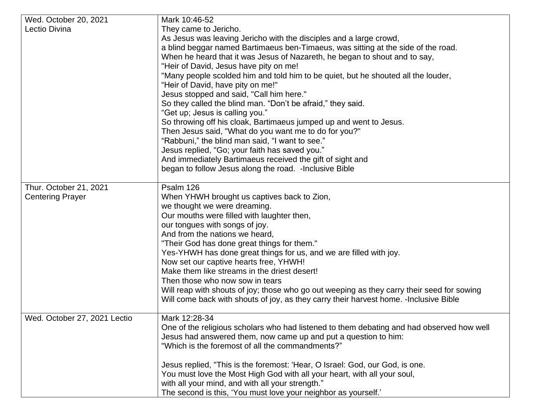| Wed. October 20, 2021        | Mark 10:46-52                                                                              |  |  |
|------------------------------|--------------------------------------------------------------------------------------------|--|--|
| Lectio Divina                | They came to Jericho.                                                                      |  |  |
|                              | As Jesus was leaving Jericho with the disciples and a large crowd,                         |  |  |
|                              | a blind beggar named Bartimaeus ben-Timaeus, was sitting at the side of the road.          |  |  |
|                              | When he heard that it was Jesus of Nazareth, he began to shout and to say,                 |  |  |
|                              | "Heir of David, Jesus have pity on me!                                                     |  |  |
|                              | "Many people scolded him and told him to be quiet, but he shouted all the louder,          |  |  |
|                              | "Heir of David, have pity on me!"                                                          |  |  |
|                              | Jesus stopped and said, "Call him here."                                                   |  |  |
|                              | So they called the blind man. "Don't be afraid," they said.                                |  |  |
|                              | "Get up; Jesus is calling you."                                                            |  |  |
|                              | So throwing off his cloak, Bartimaeus jumped up and went to Jesus.                         |  |  |
|                              |                                                                                            |  |  |
|                              | Then Jesus said, "What do you want me to do for you?"                                      |  |  |
|                              | "Rabbuni," the blind man said, "I want to see."                                            |  |  |
|                              | Jesus replied, "Go; your faith has saved you."                                             |  |  |
|                              | And immediately Bartimaeus received the gift of sight and                                  |  |  |
|                              | began to follow Jesus along the road. - Inclusive Bible                                    |  |  |
| Thur. October 21, 2021       | Psalm 126                                                                                  |  |  |
|                              |                                                                                            |  |  |
| <b>Centering Prayer</b>      | When YHWH brought us captives back to Zion,                                                |  |  |
|                              | we thought we were dreaming.                                                               |  |  |
|                              | Our mouths were filled with laughter then,                                                 |  |  |
|                              | our tongues with songs of joy.                                                             |  |  |
|                              | And from the nations we heard,                                                             |  |  |
|                              | "Their God has done great things for them."                                                |  |  |
|                              | Yes-YHWH has done great things for us, and we are filled with joy.                         |  |  |
|                              | Now set our captive hearts free, YHWH!                                                     |  |  |
|                              | Make them like streams in the driest desert!                                               |  |  |
|                              | Then those who now sow in tears                                                            |  |  |
|                              | Will reap with shouts of joy; those who go out weeping as they carry their seed for sowing |  |  |
|                              | Will come back with shouts of joy, as they carry their harvest home. - Inclusive Bible     |  |  |
|                              |                                                                                            |  |  |
| Wed. October 27, 2021 Lectio | Mark 12:28-34                                                                              |  |  |
|                              | One of the religious scholars who had listened to them debating and had observed how well  |  |  |
|                              | Jesus had answered them, now came up and put a question to him:                            |  |  |
|                              | "Which is the foremost of all the commandments?"                                           |  |  |
|                              |                                                                                            |  |  |
|                              | Jesus replied, "This is the foremost: 'Hear, O Israel: God, our God, is one.               |  |  |
|                              | You must love the Most High God with all your heart, with all your soul,                   |  |  |
|                              | with all your mind, and with all your strength."                                           |  |  |
|                              | The second is this, 'You must love your neighbor as yourself.'                             |  |  |